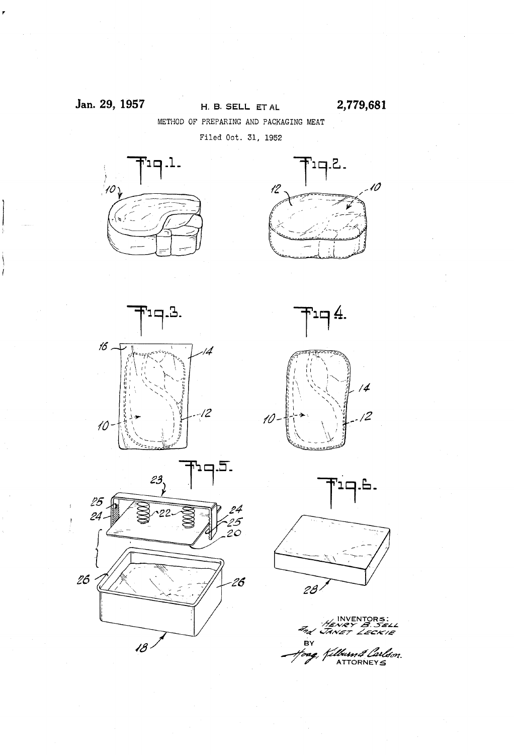## Jan. 29, 1957 H. B. SELL ET AL 2,779,681 METHOD OF PREPARING AND PACKAGING MEAT

Filed Oct. 31, 1952













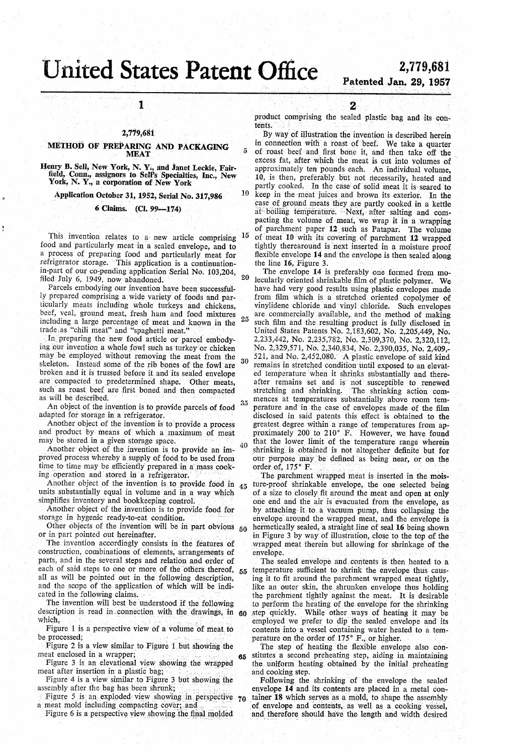## United States Patent Office 2,779,681

# 2,779,681

O

65

2,779,681

1

### METHOD OF PREPARING AND PACKAGING MEAT

Henry B. Sell, New York, N.Y., and Janet Leckie, Fair field, Conn., assignors to Sell's Specialties, Inc., New York, N. Y., a corporation of New York

Application October 31, 1952, Serial No. 317,986

6 Claims. (C. 99-174)

This invention relates to a new article comprising food and particularly meat in a sealed envelope, and to a process of preparing food and particularly meat for refrigerator storage. This application is a continuation in-part of our co-pending application Serial No. 103,204, filed July 6, 1949, now abandoned. 20

Parcels embodying our invention have been successfully prepared comprising a wide variety of foods and particularly meats including whole turkeys and chickens, beef, veal, ground meat, fresh ham and food mixtures including a large percentage of meat and known in the trade, as "chili meat" and "spaghetti meat."

ing our invention a whole fowl such as turkey or chicken may be employed without removing the meat from the 30 skeleton. Instead some of the rib bones of the fowl are broken and it is trussed before it and its sealed envelope are compacted to predetermined shape. Other meats, such as roast beef are first boned and then compacted as will be described.

35 An object of the invention is to provide parcels of food adapted for storage in a refrigerator.<br>Another object of the invention is to provide a process

and product by means of which a maximum of meat may be stored in a given storage space.

Another object of the invention is to provide an improved process whereby a supply of food to be used from time to time may be efficiently prepared in a mass cooking operation and stored in a refrigerator. 40

Another object of the invention is to provide food in 45 units substantially equal in volume and in a way which simplifies inventory and bookkeeping control.

Another object of the invention is to provide food for storage in hygenic ready-to-eat condition.

Other objects of the invention will be in part obvious  $50$ or in part pointed out hereinafter.

The invention accordingly consists in the features of construction, combinations of elements, arrangements of parts, and in the several steps and relation and order of all as will be pointed out in the following description, and the scope of the application of which will be indicated in the following claims. each of said steps to one or more of the others thereof, 55

cated in the following claims.<br>The invention will best be understood if the following description is read in connection with the drawings, in 60 which,<br>Figure 1 is a perspective view of a volume of meat to

be processed:

Figure 2 is a view similar to Figure 1 but showing the meat enclosed in a wrapper,

Figure 3 is an elevational view showing the wrapped<br>meat after insertion in a plastic bag;<br>Figure 4 is a view similar to Figure 3 but showing the<br>assembly after the bag has been shrunk;

a meat mold including compacting cover; and Figure 5 is an exploded view showing in perspective  $70$ 

Figure 6 is a perspective view showing the final molded

2 product comprising the sealed plastic bag and its con

By way of illustration the invention is described herein<br>in connection with a roast of beef. We take a quarter of roast beef and first bone it, and then take off the excess fat, after which the meat is cut into volumes of approximately ten pounds each. An individual volume, 10, is then, preferably, but not recessarily, heated and partly cooked. In the case of solid meat it is seared to keep in the meat juices and brown its exterior. In the case of ground meats they are partly cooked in a kettle at boiling temperature. Next, after salting and compacting the volume of meat, we wrap it in a wrapping of parchment paper 12 such as Patapar. The volume of meat 10 with its covering of parchment 12 wrapped tightly therearound is next inserted in a moisture proof flexible envelope  $14$  and the envelope is then sealed along the line 16, Figure 3.

are commercially available, and the method of making The envelope 14 is preferably one formed from molecularly oriented shrinkable film of plastic polymer. We have had very good results using plastic envelopes made from film which is a stretched oriented copolymer of vinylidene chloride and vinyl chloride. Such envelopes are commercially available, and the method of making such film and the resulting product is fully disclosed in United States. Patents No. 2,183,602, No. 2,205,449, No. 2,233,442, No. 2,235,782, No. 2,309,370, No. 2,320,112, No. 2,329,571, No. 2,340,834, No. 2,390,035, No. 2,409,- 521, and No. 2,452,080. A plastic envelope of said kind ed temperature when it shrinks substantially and thereafter remains set and is not susceptible to renewed stretching and shrinking. The shrinking action com mences at temperatures substantially above room tem perature and in the case of envelopes made of the film disclosed in said patents this effect is obtained to the greatest degree within a range of temperatures from approximately 200 to 210° F. However, we have found that the lower limit of the temperature range wherein shrinking is obtained is not altogether definite but for our purpose may be defined as being near, or on the

The parchment wrapped meat is inserted in the moisture-proof shrinkable envelope, the one selected being of a size to closely fit around the meat and open at only one end and the air is evacuated from the envelope, as by attaching it to a vacuum pump, thus collapsing the envelope around the wrapped meat, and the envelope is hermetically sealed, a straight line of seal 16 being shown in Figure 3 by way of illustration, close to the top of the wrapped meat therein but allowing for shrinkage of the envelope.

The sealed envelope and contents is then heated to a temperature sufficient to shrink the envelope thus causing it to fit around the parchment wrapped meat tightly. like an outer skin, the shrunken envelope thus holding the parchment tightly against the meat. It is desirable to perform the heating of the envelope for the shrinking step quickly. While other ways of heating it may be employed we prefer to dip the sealed envelope and its contents into a vessel containing water heated to a temperature on the order of  $175^{\circ}$  F., or higher.

The step of heating the flexible envelope also constitutes a second preheating step, aiding in maintaining the uniform heating obtained by the initial preheating and cooking step. Following the shrinking of the envelope the sealed

envelope  $14$  and its contents are placed in a metal container  $18$  which serves as a mold, to shape the assembly of envelope and contents, as well as a cooking vessel. and therefore should have the length and width desired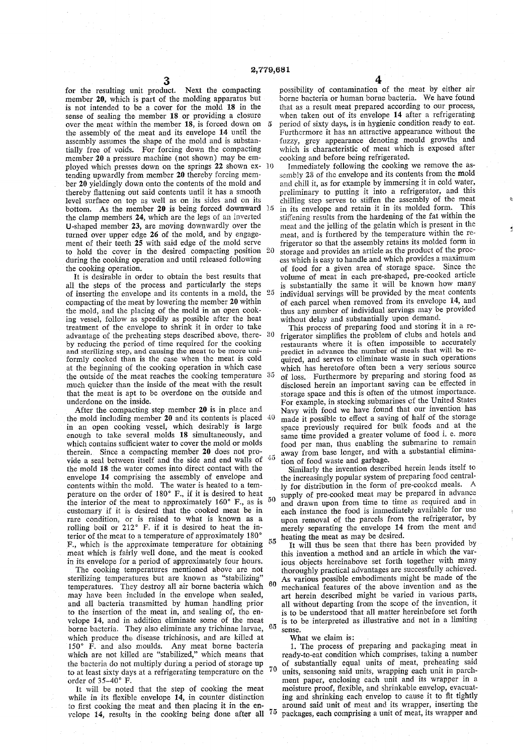5

<sup>3</sup> for the resulting unit product. Next the compacting member 20, which is part of the molding apparatus but is not intended to be a cover for the mold 18 in the sense of sealing the member 18 or providing a closure over the meat within the member 18, is forced down on the assembly of the meat and its envelope 14 until the assembly assumes the shape of the mold and is substantially free of voids. For forcing down the compacting member 20 a pressure machine (not shown) may be em ployed which presses down on the springs  $22$  shown ex- 10 tending upwardly from member 20 thereby forcing mem ber 20 yieldingly down onto the contents of the mold and thereby flattening out said contents until it has a Smooth level Surface on top as well as on its sides and on its bottom. As the member 20 is being forced downward  $\frac{15}{2}$ the clamp members 24, which are the legs of an inverted U-shaped member 23, are moving downwardly over the turned over upper edge 26 of the mold, and by engage ment of their teeth 25 with said edge of the mold serve during the cooking operation and until released following the cooking operation. to hold the cover in the desired compacting position 20

It is desirable in order to obtain the best results that all the steps of the process and particularly the steps of inserting the envelope and its contents in a mold, the compacting of the meat by lowering the member 20 within the mold, and the placing of the mold in an open cook ing vessel, follow as speedily as possible after the heat treatment of the envelope to shrink it in order to take advantage of the preheating steps described above, there- 30 by reducing the period of time required for the cooking and sterilizing step, and causing the meat to be more uni formly cooked than is the case when the meat is cold at the beginning of the cooking operation in which case the outside of the meat reaches the cooking temperature 35 much quicker than the inside of the meat with the result that the meat is apt to be overdone on the outside and underdone on the inside. 25

After the compacting step member 20 is in place and in an open cooking vessel, which desirably is large enough to take several molds 18 simultaneously, and which contains sufficient water to cover the mold or molds<br>therein. Since a compacting member 20 does not protherein. Since a compacting member 20 does not provide a seal between itself and the side and end walls of  $45$ the mold 18 the water comes into direct contact with the envelope 14 comprising the assembly of envelope and contents within the mold. The water is heated to a temperature on the order of  $180^\circ$  F., if it is desired to heat perature on the order of 180° F., if it is desired to heat the interior of the meat to approximately  $160$  F., as is customary if it is desired that the cooked meat be in rare condition, or is raised to what is known as a rolling boil or  $212^\circ$  F. if it is desired to heat the interior of the meat to a temperature of approximately 180° F., which is the approximate temperature for obtaining  $55$ meat which is fairly well done, and the meat is cooked in its envelope for a period of approximately four hours. the mold including member 20 and its contents is placed 40

The cooking temperatures mentioned above are not sterilizing temperatures but are known as "stabilizing" temperatures. They destroy all air borne bacteria which <sup>60</sup> may have been included in the envelope when sealed, and all bacteria transmitted by human handling prior to the insertion of the meat in, and sealing of, the en velope 14, and in addition eliminate some of the meat borne bacteria. They also eliminate any trichinae larvae, <sup>03</sup> which produce the disease trichinosis, and are killed at 150° F. and also moulds. Any meat borne bacteria which are not killed are "stabilized," which means that the bacteria do not multiply during a period of storage up to at least sixty days at a refrigerating temperature on the 70 order of  $35-40^\circ$  F.

It will be noted that the step of cooking the meat while in its flexible envelope 14, in counter distinction to first cooking the meat and then placing it in the en velope 14, results in the cooking being done after all 75

possibility of contamination of the meat by either air borne bacteria or human borne bacteria. We have found that as a result meat prepared according to our process, when taken out of its envelope 14 after a refrigerating period of sixty days, is in hygienic condition ready to eat. Furthermore it has an attractive appearance without the fuzzy, grey appearance denoting mould growths and which is characteristic of meat which is exposed after cooking and before being refrigerated.

Immediately following the cooking we remove the assembly 28 of the envelope and its contents from the mold and chill it, as for example by immersing it in cold water, preliminary to putting it into a refrigerator, and this chilling step serves to stiffen the assembly of the meat in its envelope and retain it in its molded form. This stiffening results from the hardening of the fat within the meat and the jelling of the gelatin which is present in the meat, and is furthered by the temperature within the refrigerator so that the assembly retains its molded form in storage and provides an article as the product of the proc ess which is easy to handle and which provides a maximum of food for a given area of storage space. Since the volume of meat in each pre-shaped, pre-cooked article individual servings will be provided by the meat contents of each parcel when removed from its envelope 14, and thus any number of individual servings may be provided without delay and substantially upon demand.

This process of preparing food and storing it in a re frigerator simplifies the problem of clubs and hotels and restaurants where it is often impossible to accurately predict in advance the number of meals that will be re quired, and serves to eliminate waste in Such operations which has heretofore often been a very Serious source of loss. Furthermore by preparing and storing food as disclosed herein an important saving can be effected in storage space and this is often of the utmost importance. For example, in stocking submarines of the United States<br>Navy with food we have found that our invention has made it possible to effect a saving of half of the storage space previously required for bulk foods and at the same time provided a greater volume of food i. e. more food per man, thus enabling the submarine to remain away from base longer, and with a substantial elimina

Similarly the invention described herein lends itself to the increasingly popular system of preparing food central-<br>ly for distribution in the form of pre-cooked meals. A supply of pre-cooked meat may be prepared in advance and drawn upon from time to time as required and in each instance the food is immediately available for use upon removal of the parcels from the refrigerator, by merely separating the envelope 14 from the meat and

heating the meat as may be desired.<br>It will thus be seen that there has been provided by this invention a method and an article in which the various objects hereinabove set forth together with many thoroughly practical advantages are successfully achieved. As various possible embodiments might be made of the mechanical features of the above invention and as the all without departing from the scope of the invention, it is to be understood that all matter hereinbefore set forth is to be interpreted as illustrative and not in a limiting sense.

What we claim is:

1. The process of preparing and packaging meat in ready-to-eat condition which comprises, taking a number of substantially equal units of meat, preheating said units, seasoning said units, wrapping each unit in parch ment paper, enclosing each unit and its wrapper in a moisture proof, flexible, and shrinkable envelop, evacuating and shrinking each envelop to cause it to fit tightly around said unit of meat and its wrapper, inserting the packages, each comprising a unit of meat, its wrapper and